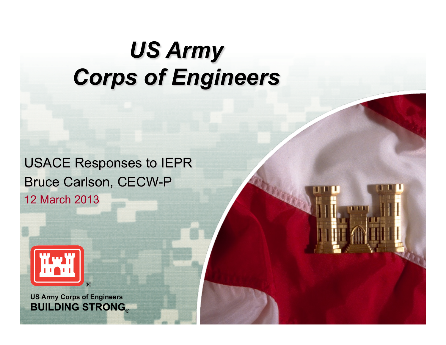#### *US Army Corps of Engineers*

USACE Responses to IEPR Bruce Carlson, CECW-P 12 March 2013



**BUILDING STRONG® US Army Corps of Engineers**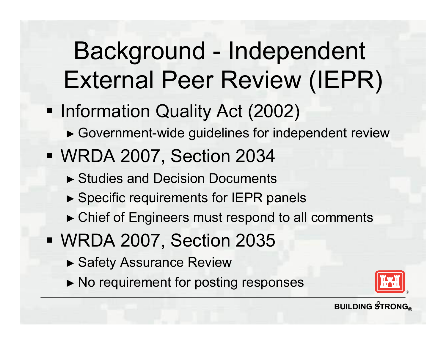## Background - Independent External Peer Review (IEPR)

- Information Quality Act (2002)
	- ► Government-wide guidelines for independent review
- § WRDA 2007, Section 2034
	- ► Studies and Decision Documents
	- ► Specific requirements for IEPR panels
	- ► Chief of Engineers must respond to all comments
- § WRDA 2007, Section 2035
	- ► Safety Assurance Review
	- ► No requirement for posting responses

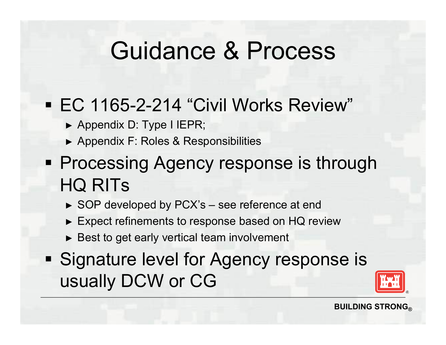#### Guidance & Process

#### § EC 1165-2-214 "Civil Works Review"

- ► Appendix D: Type I IEPR;
- ► Appendix F: Roles & Responsibilities
- **Processing Agency response is through** HQ RITs
	- ► SOP developed by PCX's see reference at end
	- ► Expect refinements to response based on HQ review
	- ► Best to get early vertical team involvement
- **Signature level for Agency response is** usually DCW or CG

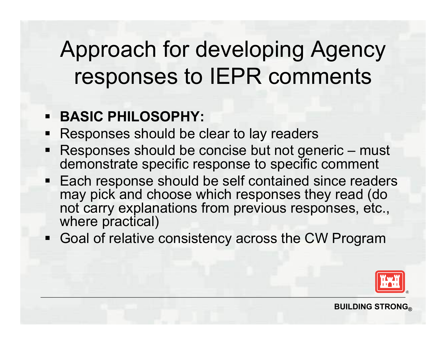#### Approach for developing Agency responses to IEPR comments

#### § **BASIC PHILOSOPHY:**

- Responses should be clear to lay readers
- Responses should be concise but not generic must demonstrate specific response to specific comment
- Each response should be self contained since readers may pick and choose which responses they read (do not carry explanations from previous responses, etc., where practical)
- Goal of relative consistency across the CW Program

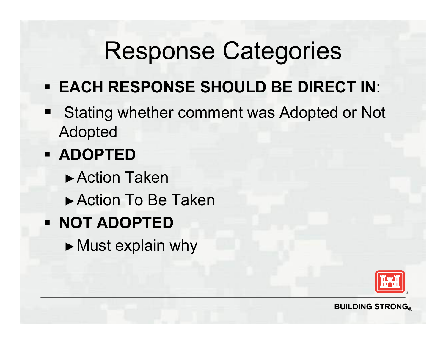### Response Categories

- § **EACH RESPONSE SHOULD BE DIRECT IN**:
- Stating whether comment was Adopted or Not Adopted

#### § **ADOPTED**

- ►Action Taken
- ►Action To Be Taken
- § **NOT ADOPTED** 
	- ►Must explain why

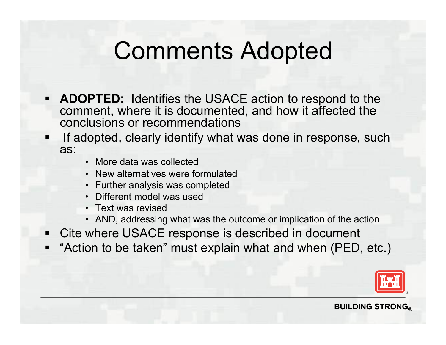#### Comments Adopted

- **ADOPTED:** Identifies the USACE action to respond to the comment, where it is documented, and how it affected the conclusions or recommendations
- If adopted, clearly identify what was done in response, such as: • More data was collected
	-
	- New alternatives were formulated
	- Further analysis was completed
	- Different model was used
	- Text was revised
	- AND, addressing what was the outcome or implication of the action
- Cite where USACE response is described in document
- "Action to be taken" must explain what and when (PED, etc.)

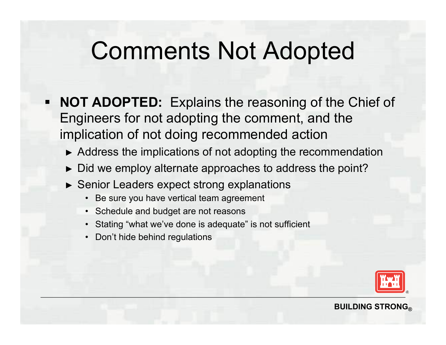#### Comments Not Adopted

- § **NOT ADOPTED:** Explains the reasoning of the Chief of Engineers for not adopting the comment, and the implication of not doing recommended action
	- ► Address the implications of not adopting the recommendation
	- ► Did we employ alternate approaches to address the point?
	- ► Senior Leaders expect strong explanations
		- Be sure you have vertical team agreement
		- Schedule and budget are not reasons
		- Stating "what we've done is adequate" is not sufficient
		- Don't hide behind regulations

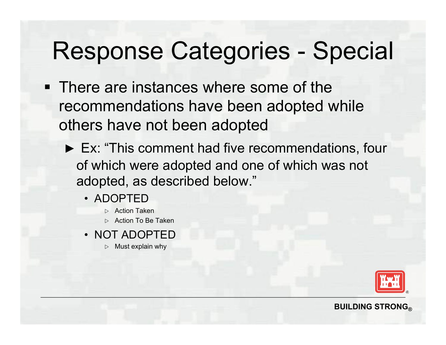### Response Categories - Special

- § There are instances where some of the recommendations have been adopted while others have not been adopted
	- ► Ex: "This comment had five recommendations, four of which were adopted and one of which was not adopted, as described below."
		- ADOPTED
			- $\triangleright$  Action Taken
			- $\triangleright$  Action To Be Taken
		- NOT ADOPTED
			- $\triangleright$  Must explain why

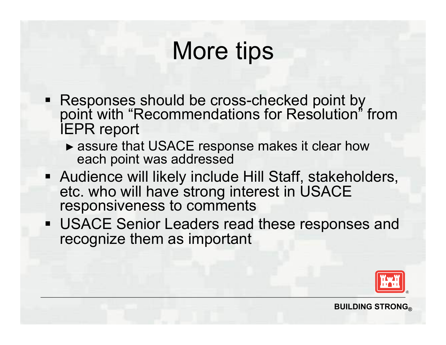### More tips

- Responses should be cross-checked point by point with "Recommendations for Resolution" from IEPR report
	- ► assure that USACE response makes it clear how each point was addressed
- § Audience will likely include Hill Staff, stakeholders, etc. who will have strong interest in USACE responsiveness to comments
- § USACE Senior Leaders read these responses and recognize them as important

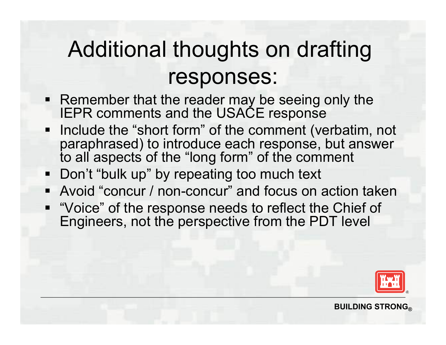#### Additional thoughts on drafting responses:

- Remember that the reader may be seeing only the IEPR comments and the USACE response
- Include the "short form" of the comment (verbatim, not paraphrased) to introduce each response, but answer to all aspects of the "long form" of the comment
- Don't "bulk up" by repeating too much text
- Avoid "concur / non-concur" and focus on action taken
- "Voice" of the response needs to reflect the Chief of Engineers, not the perspective from the PDT level

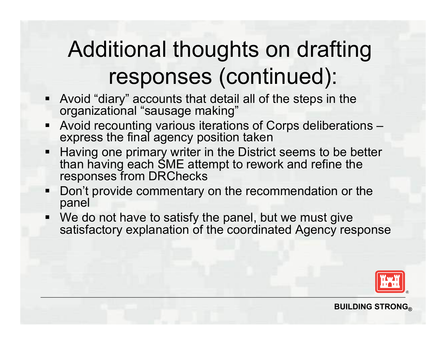#### Additional thoughts on drafting responses (continued):

- § Avoid "diary" accounts that detail all of the steps in the organizational "sausage making"
- § Avoid recounting various iterations of Corps deliberations express the final agency position taken
- Having one primary writer in the District seems to be better than having each SME attempt to rework and refine the responses from DRChecks
- Don't provide commentary on the recommendation or the panel
- We do not have to satisfy the panel, but we must give satisfactory explanation of the coordinated Agency response

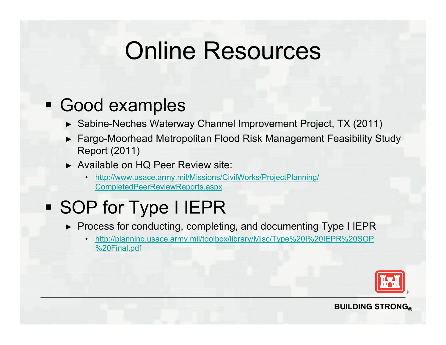### Online Resources

#### § Good examples

- ► Sabine-Neches Waterway Channel Improvement Project, TX (2011)
- ► Fargo-Moorhead Metropolitan Flood Risk Management Feasibility Study Report (2011)
- ► Available on HQ Peer Review site:
	- http://www.usace.army.mil/Missions/CivilWorks/ProjectPlanning/ CompletedPeerReviewReports.aspx

#### § SOP for Type I IEPR

- ► Process for conducting, completing, and documenting Type I IEPR
	- http://planning.usace.army.mil/toolbox/library/Misc/Type%20I%20IEPR%20SOP %20Final.pdf

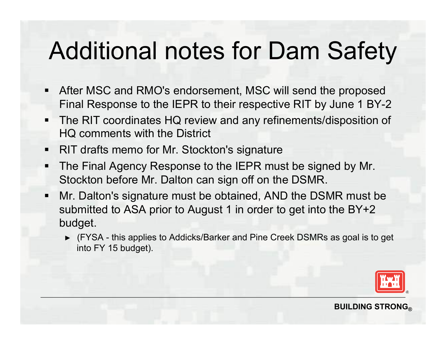## Additional notes for Dam Safety

- After MSC and RMO's endorsement, MSC will send the proposed Final Response to the IEPR to their respective RIT by June 1 BY-2
- The RIT coordinates HQ review and any refinements/disposition of HQ comments with the District
- RIT drafts memo for Mr. Stockton's signature
- **The Final Agency Response to the IEPR must be signed by Mr.** Stockton before Mr. Dalton can sign off on the DSMR.
- § Mr. Dalton's signature must be obtained, AND the DSMR must be submitted to ASA prior to August 1 in order to get into the BY+2 budget.
	- ► (FYSA this applies to Addicks/Barker and Pine Creek DSMRs as goal is to get into FY 15 budget).